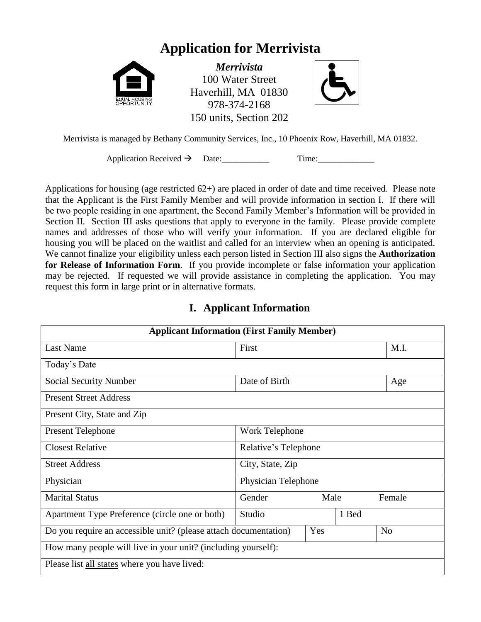# **Application for Merrivista**



*Merrivista* 100 Water Street Haverhill, MA 01830 978-374-2168 150 units, Section 202



Merrivista is managed by Bethany Community Services, Inc., 10 Phoenix Row, Haverhill, MA 01832.

Application Received  $\rightarrow$  Date: Time:

Applications for housing (age restricted 62+) are placed in order of date and time received. Please note that the Applicant is the First Family Member and will provide information in section I. If there will be two people residing in one apartment, the Second Family Member's Information will be provided in Section II. Section III asks questions that apply to everyone in the family. Please provide complete names and addresses of those who will verify your information. If you are declared eligible for housing you will be placed on the waitlist and called for an interview when an opening is anticipated. We cannot finalize your eligibility unless each person listed in Section III also signs the **Authorization for Release of Information Form**. If you provide incomplete or false information your application may be rejected. If requested we will provide assistance in completing the application. You may request this form in large print or in alternative formats.

## **I. Applicant Information**

| <b>Applicant Information (First Family Member)</b>                                        |                      |      |       |        |
|-------------------------------------------------------------------------------------------|----------------------|------|-------|--------|
| <b>Last Name</b>                                                                          | First                |      |       | M.I.   |
| Today's Date                                                                              |                      |      |       |        |
| <b>Social Security Number</b>                                                             | Date of Birth        |      |       | Age    |
| <b>Present Street Address</b>                                                             |                      |      |       |        |
| Present City, State and Zip                                                               |                      |      |       |        |
| <b>Present Telephone</b>                                                                  | Work Telephone       |      |       |        |
| <b>Closest Relative</b>                                                                   | Relative's Telephone |      |       |        |
| <b>Street Address</b>                                                                     | City, State, Zip     |      |       |        |
| Physician                                                                                 | Physician Telephone  |      |       |        |
| <b>Marital Status</b>                                                                     | Gender               | Male |       | Female |
| Apartment Type Preference (circle one or both)                                            | Studio               |      | 1 Bed |        |
| Do you require an accessible unit? (please attach documentation)<br>Yes<br>N <sub>0</sub> |                      |      |       |        |
| How many people will live in your unit? (including yourself):                             |                      |      |       |        |
| Please list all states where you have lived:                                              |                      |      |       |        |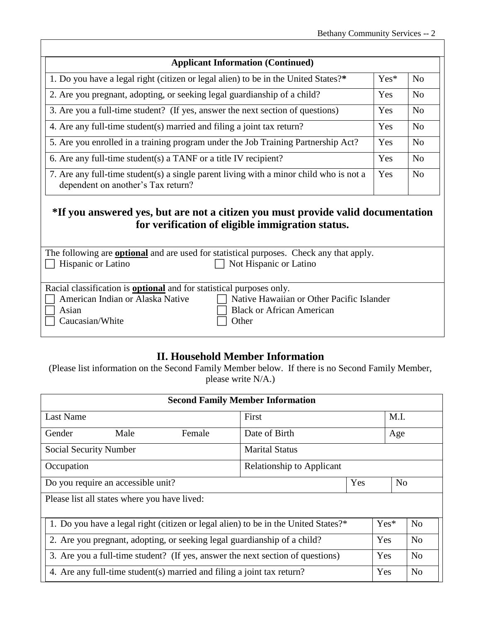| <b>Applicant Information (Continued)</b>                                                                                     |        |                |
|------------------------------------------------------------------------------------------------------------------------------|--------|----------------|
| 1. Do you have a legal right (citizen or legal alien) to be in the United States?*                                           | $Yes*$ | N <sub>0</sub> |
| 2. Are you pregnant, adopting, or seeking legal guardianship of a child?                                                     | Yes    | N <sub>0</sub> |
| 3. Are you a full-time student? (If yes, answer the next section of questions)                                               | Yes    | N <sub>0</sub> |
| 4. Are any full-time student(s) married and filing a joint tax return?                                                       | Yes    | N <sub>0</sub> |
| 5. Are you enrolled in a training program under the Job Training Partnership Act?                                            | Yes    | N <sub>0</sub> |
| 6. Are any full-time student(s) a TANF or a title IV recipient?                                                              | Yes    | N <sub>0</sub> |
| 7. Are any full-time student(s) a single parent living with a minor child who is not a<br>dependent on another's Tax return? | Yes    | N <sub>0</sub> |

## **\*If you answered yes, but are not a citizen you must provide valid documentation for verification of eligible immigration status.**

The following are **optional** and are used for statistical purposes. Check any that apply. Hispanic or Latino Not Hispanic or Latino

| Racial classification is <b>optional</b> and for statistical purposes only. |                                             |
|-----------------------------------------------------------------------------|---------------------------------------------|
| American Indian or Alaska Native                                            | □ Native Hawaiian or Other Pacific Islander |
| $\Box$ Asian                                                                | $\Box$ Black or African American            |

 $Caucasian/White$   $\Box$  Other

### **II. Household Member Information**

(Please list information on the Second Family Member below. If there is no Second Family Member, please write N/A.)

| <b>Second Family Member Information</b>                                                                        |                       |  |                |                |
|----------------------------------------------------------------------------------------------------------------|-----------------------|--|----------------|----------------|
| Last Name                                                                                                      | First                 |  | M.I.           |                |
| Female<br>Gender<br>Male                                                                                       | Date of Birth         |  | Age            |                |
| <b>Social Security Number</b>                                                                                  | <b>Marital Status</b> |  |                |                |
| <b>Relationship to Applicant</b><br>Occupation                                                                 |                       |  |                |                |
| N <sub>o</sub><br>Do you require an accessible unit?<br>Yes                                                    |                       |  |                |                |
| Please list all states where you have lived:                                                                   |                       |  |                |                |
| 1. Do you have a legal right (citizen or legal alien) to be in the United States?*<br>$Yes*$<br>N <sub>0</sub> |                       |  |                |                |
| Yes<br>2. Are you pregnant, adopting, or seeking legal guardianship of a child?                                |                       |  | N <sub>o</sub> |                |
| 3. Are you a full-time student? (If yes, answer the next section of questions)<br>Yes                          |                       |  |                | N <sub>0</sub> |
| 4. Are any full-time student(s) married and filing a joint tax return?<br>Yes<br>N <sub>0</sub>                |                       |  |                |                |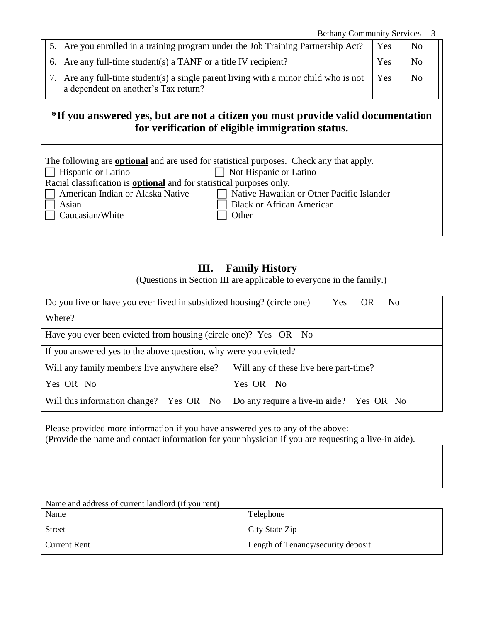Bethany Community Services -- 3

|  | 5. Are you enrolled in a training program under the Job Training Partnership Act?                                            | Yes | N <sub>o</sub> |
|--|------------------------------------------------------------------------------------------------------------------------------|-----|----------------|
|  | 6. Are any full-time student(s) a TANF or a title IV recipient?                                                              | Yes | N <sub>o</sub> |
|  | 7. Are any full-time student(s) a single parent living with a minor child who is not<br>a dependent on another's Tax return? | Yes | N <sub>o</sub> |

## **\*If you answered yes, but are not a citizen you must provide valid documentation for verification of eligible immigration status.**

| The following are <b>optional</b> and are used for statistical purposes. Check any that apply. |                                                  |
|------------------------------------------------------------------------------------------------|--------------------------------------------------|
| $\Box$ Hispanic or Latino                                                                      | $\Box$ Not Hispanic or Latino                    |
| Racial classification is <b>optional</b> and for statistical purposes only.                    |                                                  |
| $\Box$ American Indian or Alaska Native                                                        | $\Box$ Native Hawaiian or Other Pacific Islander |
| Asian                                                                                          | <b>Black or African American</b>                 |
| $\Box$ Caucasian/White                                                                         | Other                                            |
|                                                                                                |                                                  |

### **III. Family History**

(Questions in Section III are applicable to everyone in the family.)

| Do you live or have you ever lived in subsidized housing? (circle one)<br>Yes OR<br>N <sub>o</sub> |                                        |  |
|----------------------------------------------------------------------------------------------------|----------------------------------------|--|
| Where?                                                                                             |                                        |  |
| Have you ever been evicted from housing (circle one)? Yes OR No                                    |                                        |  |
| If you answered yes to the above question, why were you evicted?                                   |                                        |  |
| Will any family members live anywhere else?                                                        | Will any of these live here part-time? |  |
| Yes OR No                                                                                          | Yes OR No                              |  |
| Will this information change? Yes OR No Do any require a live-in aide? Yes OR No                   |                                        |  |

Please provided more information if you have answered yes to any of the above: (Provide the name and contact information for your physician if you are requesting a live-in aide).

Name and address of current landlord (if you rent)

| Name                | Telephone                          |
|---------------------|------------------------------------|
| <b>Street</b>       | City State Zip                     |
| <b>Current Rent</b> | Length of Tenancy/security deposit |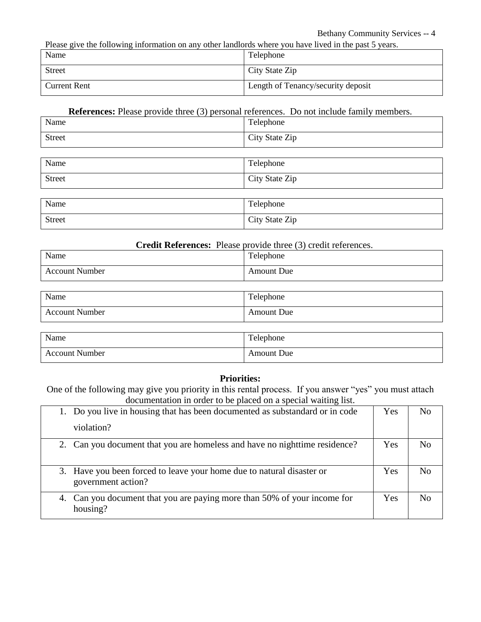Please give the following information on any other landlords where you have lived in the past 5 years.

| Name                | Telephone                          |
|---------------------|------------------------------------|
| <b>Street</b>       | City State Zip                     |
| <b>Current Rent</b> | Length of Tenancy/security deposit |

#### **References:** Please provide three (3) personal references. Do not include family members.

| Name          | Telephone      |
|---------------|----------------|
| <b>Street</b> | City State Zip |
|               |                |
| Name          | Telephone      |
| <b>Street</b> | City State Zip |

| Name          | Telephone      |
|---------------|----------------|
| <b>Street</b> | City State Zip |

#### **Credit References:** Please provide three (3) credit references.

| Name                  | $\mathbf{r}$<br>l'elephone |
|-----------------------|----------------------------|
| <b>Account Number</b> | <b>Amount Due</b>          |

| Name                  | Telephone         |
|-----------------------|-------------------|
| <b>Account Number</b> | <b>Amount Due</b> |
|                       |                   |

| Name                  | <b>TT</b><br>Felephone |
|-----------------------|------------------------|
| <b>Account Number</b> | <b>Amount Due</b>      |

#### **Priorities:**

One of the following may give you priority in this rental process. If you answer "yes" you must attach documentation in order to be placed on a special waiting list.

| 1. Do you live in housing that has been documented as substandard or in code                | Yes | N <sub>0</sub> |
|---------------------------------------------------------------------------------------------|-----|----------------|
| violation?                                                                                  |     |                |
| 2. Can you document that you are homeless and have no night time residence?                 | Yes | No.            |
| 3. Have you been forced to leave your home due to natural disaster or<br>government action? | Yes | N <sub>0</sub> |
| 4. Can you document that you are paying more than 50% of your income for<br>housing?        | Yes | $N_{\Omega}$   |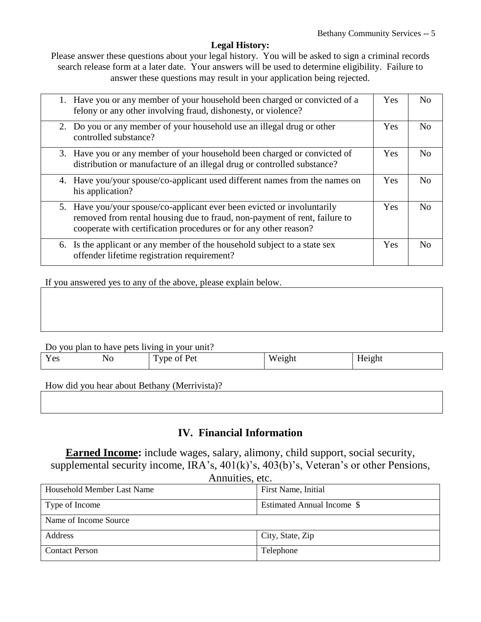#### **Legal History:**

Please answer these questions about your legal history. You will be asked to sign a criminal records search release form at a later date. Your answers will be used to determine eligibility. Failure to answer these questions may result in your application being rejected.

| 1. Have you or any member of your household been charged or convicted of a<br>felony or any other involving fraud, dishonesty, or violence?                                                                              | Yes        | N <sub>o</sub>     |
|--------------------------------------------------------------------------------------------------------------------------------------------------------------------------------------------------------------------------|------------|--------------------|
| 2. Do you or any member of your household use an illegal drug or other<br>controlled substance?                                                                                                                          | Yes        | N <sub>o</sub>     |
| 3. Have you or any member of your household been charged or convicted of<br>distribution or manufacture of an illegal drug or controlled substance?                                                                      | <b>Yes</b> | $\overline{N}_{0}$ |
| 4. Have you/your spouse/co-applicant used different names from the names on<br>his application?                                                                                                                          | Yes        | N <sub>o</sub>     |
| 5. Have you/your spouse/co-applicant ever been evicted or involuntarily<br>removed from rental housing due to fraud, non-payment of rent, failure to<br>cooperate with certification procedures or for any other reason? | <b>Yes</b> | N <sub>0</sub>     |
| 6. Is the applicant or any member of the household subject to a state sex<br>offender lifetime registration requirement?                                                                                                 | <b>Yes</b> | $\overline{N}$     |

If you answered yes to any of the above, please explain below.

| Do you plan to have pets living in your unit? |  |  |  |  |
|-----------------------------------------------|--|--|--|--|
|                                               |  |  |  |  |

|                                                             | _____ | _____<br>_____<br>_____ |        |        |
|-------------------------------------------------------------|-------|-------------------------|--------|--------|
| $\overline{\mathbf{x}}$<br>$V \alpha c$<br>1 C <sub>2</sub> | ΝO    | Type of Pet             | Weight | Height |

How did you hear about Bethany (Merrivista)?

### **IV. Financial Information**

**Earned Income:** include wages, salary, alimony, child support, social security, supplemental security income, IRA's, 401(k)'s, 403(b)'s, Veteran's or other Pensions,  $A$ nnuities, etc.

| Alliquities, etc.          |                            |  |
|----------------------------|----------------------------|--|
| Household Member Last Name | First Name, Initial        |  |
| Type of Income             | Estimated Annual Income \$ |  |
| Name of Income Source      |                            |  |
| <b>Address</b>             | City, State, Zip           |  |
| <b>Contact Person</b>      | Telephone                  |  |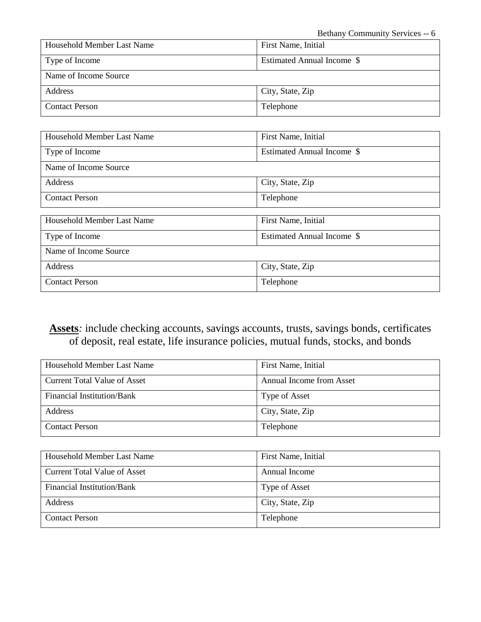| Household Member Last Name | First Name, Initial        |
|----------------------------|----------------------------|
| Type of Income             | Estimated Annual Income \$ |
| Name of Income Source      |                            |
| Address                    | City, State, Zip           |
| <b>Contact Person</b>      | Telephone                  |

| <b>Household Member Last Name</b> | First Name, Initial        |
|-----------------------------------|----------------------------|
| Type of Income                    | Estimated Annual Income \$ |
| Name of Income Source             |                            |
| Address                           | City, State, Zip           |
| <b>Contact Person</b>             | Telephone                  |
|                                   |                            |
| <b>Household Member Last Name</b> | First Name, Initial        |
| Type of Income                    | Estimated Annual Income \$ |
| Name of Income Source             |                            |
| Address                           | City, State, Zip           |
| <b>Contact Person</b>             | Telephone                  |

**Assets***:* include checking accounts, savings accounts, trusts, savings bonds, certificates of deposit, real estate, life insurance policies, mutual funds, stocks, and bonds

| Household Member Last Name   | First Name, Initial      |
|------------------------------|--------------------------|
| Current Total Value of Asset | Annual Income from Asset |
| Financial Institution/Bank   | Type of Asset            |
| <b>Address</b>               | City, State, Zip         |
| <b>Contact Person</b>        | Telephone                |

| Household Member Last Name   | First Name, Initial |
|------------------------------|---------------------|
| Current Total Value of Asset | Annual Income       |
| Financial Institution/Bank   | Type of Asset       |
| Address                      | City, State, Zip    |
| <b>Contact Person</b>        | Telephone           |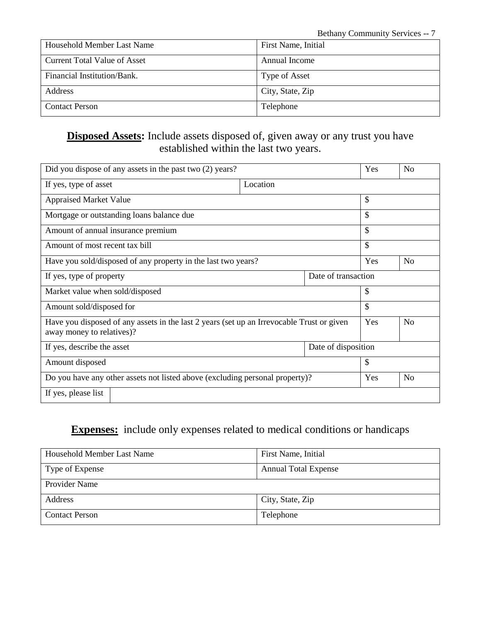| Household Member Last Name          | First Name, Initial |
|-------------------------------------|---------------------|
| <b>Current Total Value of Asset</b> | Annual Income       |
| Financial Institution/Bank.         | Type of Asset       |
| Address                             | City, State, Zip    |
| <b>Contact Person</b>               | Telephone           |

## **Disposed Assets:** Include assets disposed of, given away or any trust you have established within the last two years.

| Did you dispose of any assets in the past two (2) years?                                                               |          |     | Yes            | N <sub>o</sub> |
|------------------------------------------------------------------------------------------------------------------------|----------|-----|----------------|----------------|
| If yes, type of asset                                                                                                  | Location |     |                |                |
| <b>Appraised Market Value</b>                                                                                          |          | \$  |                |                |
| Mortgage or outstanding loans balance due                                                                              |          | \$  |                |                |
| Amount of annual insurance premium                                                                                     |          | \$  |                |                |
| Amount of most recent tax bill                                                                                         |          |     | \$             |                |
| Have you sold/disposed of any property in the last two years?                                                          |          | Yes | N <sub>o</sub> |                |
| Date of transaction<br>If yes, type of property                                                                        |          |     |                |                |
| Market value when sold/disposed                                                                                        |          |     | \$             |                |
| Amount sold/disposed for                                                                                               |          |     | \$             |                |
| Have you disposed of any assets in the last 2 years (set up an Irrevocable Trust or given<br>away money to relatives)? |          |     | Yes            | N <sub>o</sub> |
| Date of disposition<br>If yes, describe the asset                                                                      |          |     |                |                |
| Amount disposed                                                                                                        |          | \$  |                |                |
| Do you have any other assets not listed above (excluding personal property)?                                           |          | Yes | N <sub>o</sub> |                |
| If yes, please list                                                                                                    |          |     |                |                |

## **Expenses:** include only expenses related to medical conditions or handicaps

| Household Member Last Name | First Name, Initial         |
|----------------------------|-----------------------------|
| Type of Expense            | <b>Annual Total Expense</b> |
| Provider Name              |                             |
| Address                    | City, State, Zip            |
| <b>Contact Person</b>      | Telephone                   |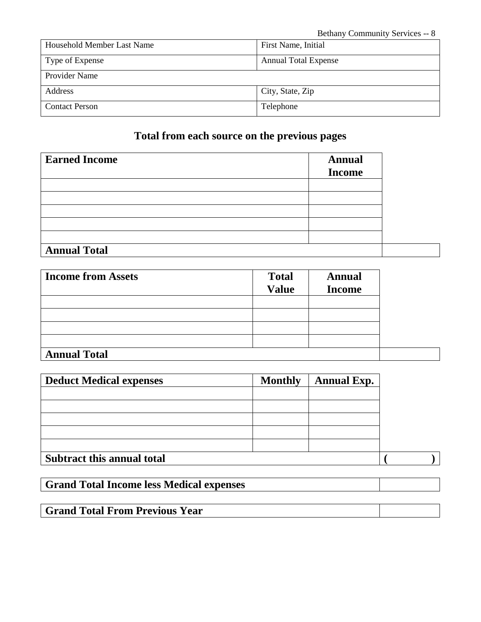| Household Member Last Name | First Name, Initial         |  |
|----------------------------|-----------------------------|--|
| Type of Expense            | <b>Annual Total Expense</b> |  |
| Provider Name              |                             |  |
| Address                    | City, State, Zip            |  |
| <b>Contact Person</b>      | Telephone                   |  |

## **Total from each source on the previous pages**

| <b>Earned Income</b> | <b>Annual</b><br><b>Income</b> |  |
|----------------------|--------------------------------|--|
|                      |                                |  |
|                      |                                |  |
|                      |                                |  |
|                      |                                |  |
|                      |                                |  |
| <b>Annual Total</b>  |                                |  |

| <b>Income from Assets</b> | <b>Total</b><br><b>Annual</b> |               |  |
|---------------------------|-------------------------------|---------------|--|
|                           | <b>Value</b>                  | <b>Income</b> |  |
|                           |                               |               |  |
|                           |                               |               |  |
|                           |                               |               |  |
|                           |                               |               |  |
| <b>Annual Total</b>       |                               |               |  |

| <b>Deduct Medical expenses</b>    | <b>Monthly</b> | <b>Annual Exp.</b> |  |
|-----------------------------------|----------------|--------------------|--|
|                                   |                |                    |  |
|                                   |                |                    |  |
|                                   |                |                    |  |
|                                   |                |                    |  |
|                                   |                |                    |  |
| <b>Subtract this annual total</b> |                |                    |  |

**Grand Total Income less Medical expenses**

**Grand Total From Previous Year**